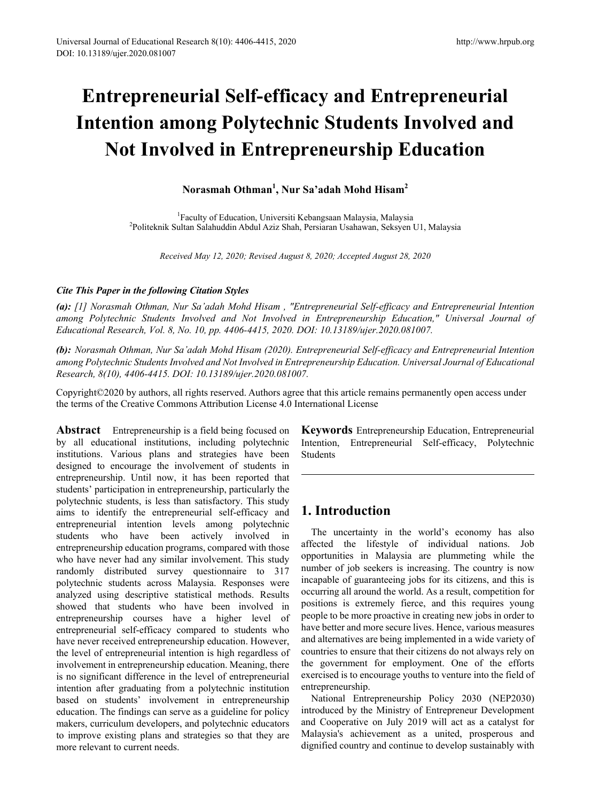# **Entrepreneurial Self-efficacy and Entrepreneurial Intention among Polytechnic Students Involved and Not Involved in Entrepreneurship Education**

## **Norasmah Othman<sup>1</sup> , Nur Sa'adah Mohd Hisam<sup>2</sup>**

<sup>1</sup> Faculty of Education, Universiti Kebangsaan Malaysia, Malaysia<sup>2</sup><br><sup>2</sup> Politeknik Sultan Salabuddin Abdul Aziz Shah, Persiaran Usahawan, Seksyen Politeknik Sultan Salahuddin Abdul Aziz Shah, Persiaran Usahawan, Seksyen U1, Malaysia

*Received May 12, 2020; Revised August 8, 2020; Accepted August 28, 2020*

#### *Cite This Paper in the following Citation Styles*

*(a): [1] Norasmah Othman, Nur Sa'adah Mohd Hisam , "Entrepreneurial Self-efficacy and Entrepreneurial Intention among Polytechnic Students Involved and Not Involved in Entrepreneurship Education," Universal Journal of Educational Research, Vol. 8, No. 10, pp. 4406-4415, 2020. DOI: 10.13189/ujer.2020.081007.* 

*(b): Norasmah Othman, Nur Sa'adah Mohd Hisam (2020). Entrepreneurial Self-efficacy and Entrepreneurial Intention among Polytechnic Students Involved and Not Involved in Entrepreneurship Education. Universal Journal of Educational Research, 8(10), 4406-4415. DOI: 10.13189/ujer.2020.081007.* 

Copyright©2020 by authors, all rights reserved. Authors agree that this article remains permanently open access under the terms of the Creative Commons Attribution License 4.0 International License

**Abstract** Entrepreneurship is a field being focused on by all educational institutions, including polytechnic institutions. Various plans and strategies have been designed to encourage the involvement of students in entrepreneurship. Until now, it has been reported that students' participation in entrepreneurship, particularly the polytechnic students, is less than satisfactory. This study aims to identify the entrepreneurial self-efficacy and entrepreneurial intention levels among polytechnic students who have been actively involved in entrepreneurship education programs, compared with those who have never had any similar involvement. This study randomly distributed survey questionnaire to 317 polytechnic students across Malaysia. Responses were analyzed using descriptive statistical methods. Results showed that students who have been involved in entrepreneurship courses have a higher level of entrepreneurial self-efficacy compared to students who have never received entrepreneurship education. However, the level of entrepreneurial intention is high regardless of involvement in entrepreneurship education. Meaning, there is no significant difference in the level of entrepreneurial intention after graduating from a polytechnic institution based on students' involvement in entrepreneurship education. The findings can serve as a guideline for policy makers, curriculum developers, and polytechnic educators to improve existing plans and strategies so that they are more relevant to current needs.

**Keywords** Entrepreneurship Education, Entrepreneurial Intention, Entrepreneurial Self-efficacy, Polytechnic Students

## **1. Introduction**

The uncertainty in the world's economy has also affected the lifestyle of individual nations. Job opportunities in Malaysia are plummeting while the number of job seekers is increasing. The country is now incapable of guaranteeing jobs for its citizens, and this is occurring all around the world. As a result, competition for positions is extremely fierce, and this requires young people to be more proactive in creating new jobs in order to have better and more secure lives. Hence, various measures and alternatives are being implemented in a wide variety of countries to ensure that their citizens do not always rely on the government for employment. One of the efforts exercised is to encourage youths to venture into the field of entrepreneurship.

National Entrepreneurship Policy 2030 (NEP2030) introduced by the Ministry of Entrepreneur Development and Cooperative on July 2019 will act as a catalyst for Malaysia's achievement as a united, prosperous and dignified country and continue to develop sustainably with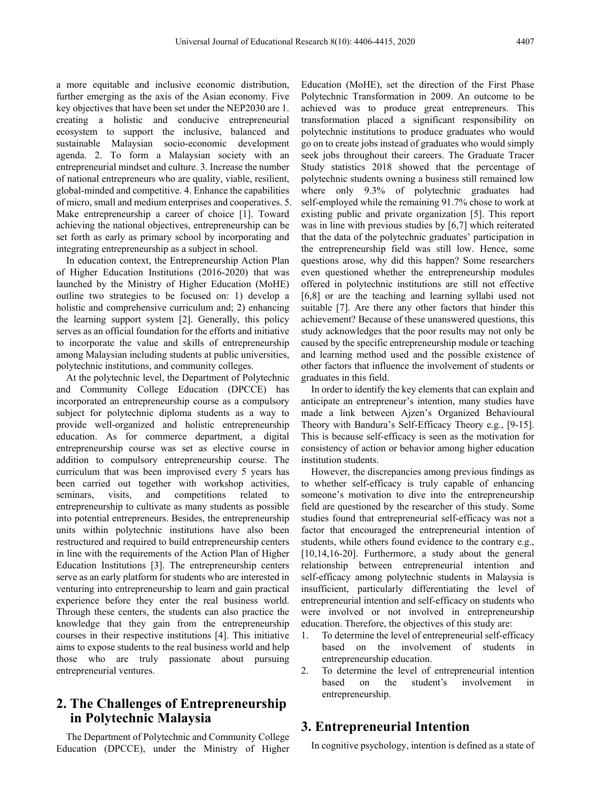a more equitable and inclusive economic distribution, further emerging as the axis of the Asian economy. Five key objectives that have been set under the NEP2030 are 1. creating a holistic and conducive entrepreneurial ecosystem to support the inclusive, balanced and sustainable Malaysian socio-economic development agenda. 2. To form a Malaysian society with an entrepreneurial mindset and culture. 3. Increase the number of national entrepreneurs who are quality, viable, resilient, global-minded and competitive. 4. Enhance the capabilities of micro, small and medium enterprises and cooperatives. 5. Make entrepreneurship a career of choice [1]. Toward achieving the national objectives, entrepreneurship can be set forth as early as primary school by incorporating and integrating entrepreneurship as a subject in school.

In education context, the Entrepreneurship Action Plan of Higher Education Institutions (2016-2020) that was launched by the Ministry of Higher Education (MoHE) outline two strategies to be focused on: 1) develop a holistic and comprehensive curriculum and; 2) enhancing the learning support system [2]. Generally, this policy serves as an official foundation for the efforts and initiative to incorporate the value and skills of entrepreneurship among Malaysian including students at public universities, polytechnic institutions, and community colleges.

At the polytechnic level, the Department of Polytechnic and Community College Education (DPCCE) has incorporated an entrepreneurship course as a compulsory subject for polytechnic diploma students as a way to provide well-organized and holistic entrepreneurship education. As for commerce department, a digital entrepreneurship course was set as elective course in addition to compulsory entrepreneurship course. The curriculum that was been improvised every 5 years has been carried out together with workshop activities, seminars, visits, and competitions related to entrepreneurship to cultivate as many students as possible into potential entrepreneurs. Besides, the entrepreneurship units within polytechnic institutions have also been restructured and required to build entrepreneurship centers in line with the requirements of the Action Plan of Higher Education Institutions [3]. The entrepreneurship centers serve as an early platform for students who are interested in venturing into entrepreneurship to learn and gain practical experience before they enter the real business world. Through these centers, the students can also practice the knowledge that they gain from the entrepreneurship courses in their respective institutions [4]. This initiative aims to expose students to the real business world and help those who are truly passionate about pursuing entrepreneurial ventures.

## **2. The Challenges of Entrepreneurship in Polytechnic Malaysia**

The Department of Polytechnic and Community College Education (DPCCE), under the Ministry of Higher

Education (MoHE), set the direction of the First Phase Polytechnic Transformation in 2009. An outcome to be achieved was to produce great entrepreneurs. This transformation placed a significant responsibility on polytechnic institutions to produce graduates who would go on to create jobs instead of graduates who would simply seek jobs throughout their careers. The Graduate Tracer Study statistics 2018 showed that the percentage of polytechnic students owning a business still remained low where only 9.3% of polytechnic graduates had self-employed while the remaining 91.7% chose to work at existing public and private organization [5]. This report was in line with previous studies by [6,7] which reiterated that the data of the polytechnic graduates' participation in the entrepreneurship field was still low. Hence, some questions arose, why did this happen? Some researchers even questioned whether the entrepreneurship modules offered in polytechnic institutions are still not effective [6,8] or are the teaching and learning syllabi used not suitable [7]. Are there any other factors that hinder this achievement? Because of these unanswered questions, this study acknowledges that the poor results may not only be caused by the specific entrepreneurship module or teaching and learning method used and the possible existence of other factors that influence the involvement of students or graduates in this field.

In order to identify the key elements that can explain and anticipate an entrepreneur's intention, many studies have made a link between Ajzen's Organized Behavioural Theory with Bandura's Self-Efficacy Theory e.g., [9-15]. This is because self-efficacy is seen as the motivation for consistency of action or behavior among higher education institution students.

However, the discrepancies among previous findings as to whether self-efficacy is truly capable of enhancing someone's motivation to dive into the entrepreneurship field are questioned by the researcher of this study. Some studies found that entrepreneurial self-efficacy was not a factor that encouraged the entrepreneurial intention of students, while others found evidence to the contrary e.g., [10,14,16-20]. Furthermore, a study about the general relationship between entrepreneurial intention and self-efficacy among polytechnic students in Malaysia is insufficient, particularly differentiating the level of entrepreneurial intention and self-efficacy on students who were involved or not involved in entrepreneurship education. Therefore, the objectives of this study are:

- 1. To determine the level of entrepreneurial self-efficacy based on the involvement of students in entrepreneurship education.
- 2. To determine the level of entrepreneurial intention based on the student's involvement in entrepreneurship.

## **3. Entrepreneurial Intention**

In cognitive psychology, intention is defined as a state of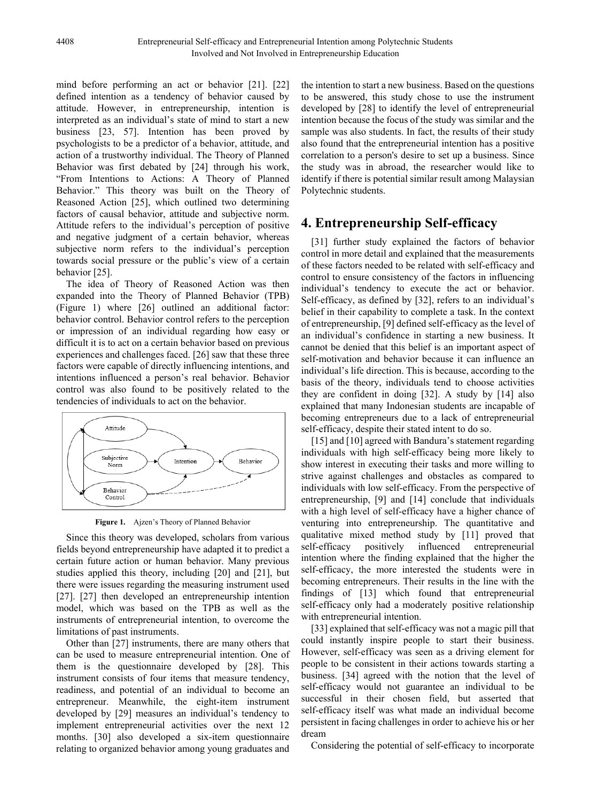mind before performing an act or behavior [21]. [22] defined intention as a tendency of behavior caused by attitude. However, in entrepreneurship, intention is interpreted as an individual's state of mind to start a new business [23, 57]. Intention has been proved by psychologists to be a predictor of a behavior, attitude, and action of a trustworthy individual. The Theory of Planned Behavior was first debated by [24] through his work, "From Intentions to Actions: A Theory of Planned Behavior." This theory was built on the Theory of Reasoned Action [25], which outlined two determining factors of causal behavior, attitude and subjective norm. Attitude refers to the individual's perception of positive and negative judgment of a certain behavior, whereas subjective norm refers to the individual's perception towards social pressure or the public's view of a certain behavior [25].

The idea of Theory of Reasoned Action was then expanded into the Theory of Planned Behavior (TPB) (Figure 1) where [26] outlined an additional factor: behavior control. Behavior control refers to the perception or impression of an individual regarding how easy or difficult it is to act on a certain behavior based on previous experiences and challenges faced. [26] saw that these three factors were capable of directly influencing intentions, and intentions influenced a person's real behavior. Behavior control was also found to be positively related to the tendencies of individuals to act on the behavior.



**Figure 1.** Ajzen's Theory of Planned Behavior

Since this theory was developed, scholars from various fields beyond entrepreneurship have adapted it to predict a certain future action or human behavior. Many previous studies applied this theory, including [20] and [21], but there were issues regarding the measuring instrument used [27]. [27] then developed an entrepreneurship intention model, which was based on the TPB as well as the instruments of entrepreneurial intention, to overcome the limitations of past instruments.

Other than [27] instruments, there are many others that can be used to measure entrepreneurial intention. One of them is the questionnaire developed by [28]. This instrument consists of four items that measure tendency, readiness, and potential of an individual to become an entrepreneur. Meanwhile, the eight-item instrument developed by [29] measures an individual's tendency to implement entrepreneurial activities over the next 12 months. [30] also developed a six-item questionnaire relating to organized behavior among young graduates and

the intention to start a new business. Based on the questions to be answered, this study chose to use the instrument developed by [28] to identify the level of entrepreneurial intention because the focus of the study was similar and the sample was also students. In fact, the results of their study also found that the entrepreneurial intention has a positive correlation to a person's desire to set up a business. Since the study was in abroad, the researcher would like to identify if there is potential similar result among Malaysian Polytechnic students.

# **4. Entrepreneurship Self-efficacy**

[31] further study explained the factors of behavior control in more detail and explained that the measurements of these factors needed to be related with self-efficacy and control to ensure consistency of the factors in influencing individual's tendency to execute the act or behavior. Self-efficacy, as defined by [32], refers to an individual's belief in their capability to complete a task. In the context of entrepreneurship, [9] defined self-efficacy as the level of an individual's confidence in starting a new business. It cannot be denied that this belief is an important aspect of self-motivation and behavior because it can influence an individual's life direction. This is because, according to the basis of the theory, individuals tend to choose activities they are confident in doing [32]. A study by [14] also explained that many Indonesian students are incapable of becoming entrepreneurs due to a lack of entrepreneurial self-efficacy, despite their stated intent to do so.

[15] and [10] agreed with Bandura's statement regarding individuals with high self-efficacy being more likely to show interest in executing their tasks and more willing to strive against challenges and obstacles as compared to individuals with low self-efficacy. From the perspective of entrepreneurship, [9] and [14] conclude that individuals with a high level of self-efficacy have a higher chance of venturing into entrepreneurship. The quantitative and qualitative mixed method study by [11] proved that self-efficacy positively influenced entrepreneurial intention where the finding explained that the higher the self-efficacy, the more interested the students were in becoming entrepreneurs. Their results in the line with the findings of [13] which found that entrepreneurial self-efficacy only had a moderately positive relationship with entrepreneurial intention.

[33] explained that self-efficacy was not a magic pill that could instantly inspire people to start their business. However, self-efficacy was seen as a driving element for people to be consistent in their actions towards starting a business. [34] agreed with the notion that the level of self-efficacy would not guarantee an individual to be successful in their chosen field, but asserted that self-efficacy itself was what made an individual become persistent in facing challenges in order to achieve his or her dream

Considering the potential of self-efficacy to incorporate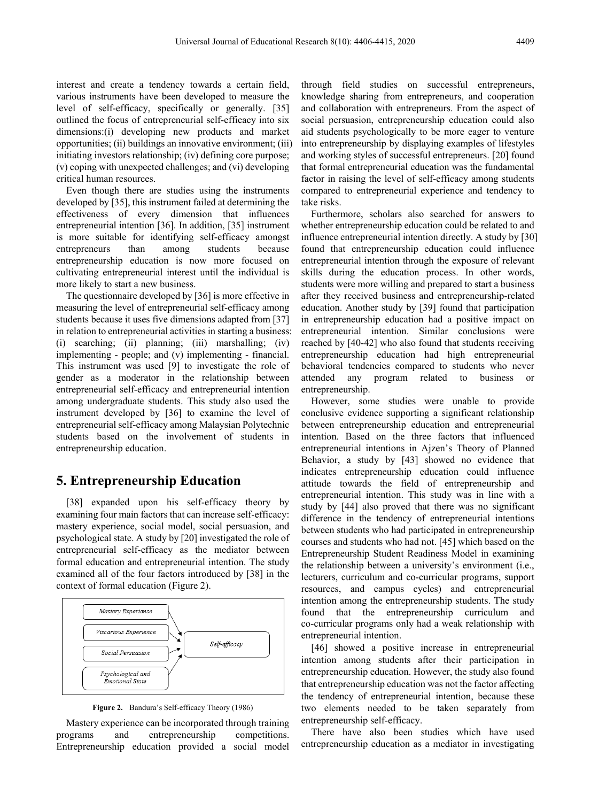interest and create a tendency towards a certain field, various instruments have been developed to measure the level of self-efficacy, specifically or generally. [35] outlined the focus of entrepreneurial self-efficacy into six dimensions:(i) developing new products and market opportunities; (ii) buildings an innovative environment; (iii) initiating investors relationship; (iv) defining core purpose; (v) coping with unexpected challenges; and (vi) developing critical human resources.

Even though there are studies using the instruments developed by [35], this instrument failed at determining the effectiveness of every dimension that influences entrepreneurial intention [36]. In addition, [35] instrument is more suitable for identifying self-efficacy amongst entrepreneurs than among students because entrepreneurship education is now more focused on cultivating entrepreneurial interest until the individual is more likely to start a new business.

The questionnaire developed by [36] is more effective in measuring the level of entrepreneurial self-efficacy among students because it uses five dimensions adapted from [37] in relation to entrepreneurial activities in starting a business: (i) searching; (ii) planning; (iii) marshalling; (iv) implementing - people; and (v) implementing - financial. This instrument was used [9] to investigate the role of gender as a moderator in the relationship between entrepreneurial self-efficacy and entrepreneurial intention among undergraduate students. This study also used the instrument developed by [36] to examine the level of entrepreneurial self-efficacy among Malaysian Polytechnic students based on the involvement of students in entrepreneurship education.

#### **5. Entrepreneurship Education**

[38] expanded upon his self-efficacy theory by examining four main factors that can increase self-efficacy: mastery experience, social model, social persuasion, and psychological state. A study by [20] investigated the role of entrepreneurial self-efficacy as the mediator between formal education and entrepreneurial intention. The study examined all of the four factors introduced by [38] in the context of formal education (Figure 2).



**Figure 2.** Bandura's Self-efficacy Theory (1986)

Mastery experience can be incorporated through training programs and entrepreneurship competitions. Entrepreneurship education provided a social model through field studies on successful entrepreneurs, knowledge sharing from entrepreneurs, and cooperation and collaboration with entrepreneurs. From the aspect of social persuasion, entrepreneurship education could also aid students psychologically to be more eager to venture into entrepreneurship by displaying examples of lifestyles and working styles of successful entrepreneurs. [20] found that formal entrepreneurial education was the fundamental factor in raising the level of self-efficacy among students compared to entrepreneurial experience and tendency to take risks.

Furthermore, scholars also searched for answers to whether entrepreneurship education could be related to and influence entrepreneurial intention directly. A study by [30] found that entrepreneurship education could influence entrepreneurial intention through the exposure of relevant skills during the education process. In other words, students were more willing and prepared to start a business after they received business and entrepreneurship-related education. Another study by [39] found that participation in entrepreneurship education had a positive impact on entrepreneurial intention. Similar conclusions were reached by [40-42] who also found that students receiving entrepreneurship education had high entrepreneurial behavioral tendencies compared to students who never attended any program related to business or entrepreneurship.

However, some studies were unable to provide conclusive evidence supporting a significant relationship between entrepreneurship education and entrepreneurial intention. Based on the three factors that influenced entrepreneurial intentions in Ajzen's Theory of Planned Behavior, a study by [43] showed no evidence that indicates entrepreneurship education could influence attitude towards the field of entrepreneurship and entrepreneurial intention. This study was in line with a study by [44] also proved that there was no significant difference in the tendency of entrepreneurial intentions between students who had participated in entrepreneurship courses and students who had not. [45] which based on the Entrepreneurship Student Readiness Model in examining the relationship between a university's environment (i.e., lecturers, curriculum and co-curricular programs, support resources, and campus cycles) and entrepreneurial intention among the entrepreneurship students. The study found that the entrepreneurship curriculum and co-curricular programs only had a weak relationship with entrepreneurial intention.

[46] showed a positive increase in entrepreneurial intention among students after their participation in entrepreneurship education. However, the study also found that entrepreneurship education was not the factor affecting the tendency of entrepreneurial intention, because these two elements needed to be taken separately from entrepreneurship self-efficacy.

There have also been studies which have used entrepreneurship education as a mediator in investigating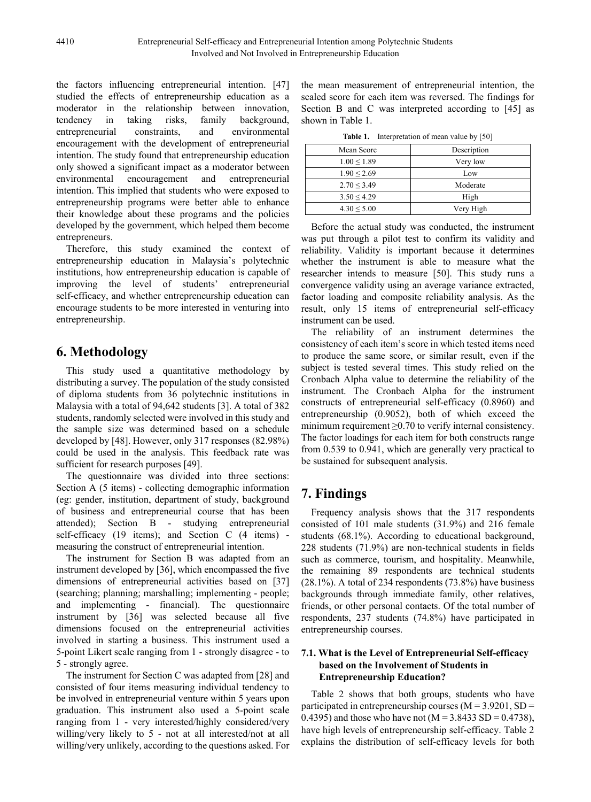the factors influencing entrepreneurial intention. [47] studied the effects of entrepreneurship education as a moderator in the relationship between innovation, tendency in taking risks, family background, entrepreneurial constraints, and environmental encouragement with the development of entrepreneurial intention. The study found that entrepreneurship education only showed a significant impact as a moderator between environmental encouragement and entrepreneurial intention. This implied that students who were exposed to entrepreneurship programs were better able to enhance their knowledge about these programs and the policies developed by the government, which helped them become entrepreneurs.

Therefore, this study examined the context of entrepreneurship education in Malaysia's polytechnic institutions, how entrepreneurship education is capable of improving the level of students' entrepreneurial self-efficacy, and whether entrepreneurship education can encourage students to be more interested in venturing into entrepreneurship.

# **6. Methodology**

This study used a quantitative methodology by distributing a survey. The population of the study consisted of diploma students from 36 polytechnic institutions in Malaysia with a total of 94,642 students [3]. A total of 382 students, randomly selected were involved in this study and the sample size was determined based on a schedule developed by [48]. However, only 317 responses (82.98%) could be used in the analysis. This feedback rate was sufficient for research purposes [49].

The questionnaire was divided into three sections: Section A (5 items) - collecting demographic information (eg: gender, institution, department of study, background of business and entrepreneurial course that has been attended); Section B - studying entrepreneurial self-efficacy (19 items); and Section C (4 items) measuring the construct of entrepreneurial intention.

The instrument for Section B was adapted from an instrument developed by [36], which encompassed the five dimensions of entrepreneurial activities based on [37] (searching; planning; marshalling; implementing - people; and implementing - financial). The questionnaire instrument by [36] was selected because all five dimensions focused on the entrepreneurial activities involved in starting a business. This instrument used a 5-point Likert scale ranging from 1 - strongly disagree - to 5 - strongly agree.

The instrument for Section C was adapted from [28] and consisted of four items measuring individual tendency to be involved in entrepreneurial venture within 5 years upon graduation. This instrument also used a 5-point scale ranging from 1 - very interested/highly considered/very willing/very likely to 5 - not at all interested/not at all willing/very unlikely, according to the questions asked. For

the mean measurement of entrepreneurial intention, the scaled score for each item was reversed. The findings for Section B and C was interpreted according to [45] as shown in Table 1.

**Table 1.** Interpretation of mean value by [50]

| Mean Score      | Description |  |  |  |  |  |  |
|-----------------|-------------|--|--|--|--|--|--|
| $1.00 \le 1.89$ | Very low    |  |  |  |  |  |  |
| $1.90 \le 2.69$ | Low         |  |  |  |  |  |  |
| $2.70 \le 3.49$ | Moderate    |  |  |  |  |  |  |
| 3.50 < 4.29     | High        |  |  |  |  |  |  |
| $4.30 \le 5.00$ | Very High   |  |  |  |  |  |  |

Before the actual study was conducted, the instrument was put through a pilot test to confirm its validity and reliability. Validity is important because it determines whether the instrument is able to measure what the researcher intends to measure [50]. This study runs a convergence validity using an average variance extracted, factor loading and composite reliability analysis. As the result, only 15 items of entrepreneurial self-efficacy instrument can be used.

The reliability of an instrument determines the consistency of each item's score in which tested items need to produce the same score, or similar result, even if the subject is tested several times. This study relied on the Cronbach Alpha value to determine the reliability of the instrument. The Cronbach Alpha for the instrument constructs of entrepreneurial self-efficacy (0.8960) and entrepreneurship (0.9052), both of which exceed the minimum requirement ≥0.70 to verify internal consistency. The factor loadings for each item for both constructs range from 0.539 to 0.941, which are generally very practical to be sustained for subsequent analysis.

# **7. Findings**

Frequency analysis shows that the 317 respondents consisted of 101 male students (31.9%) and 216 female students (68.1%). According to educational background, 228 students (71.9%) are non-technical students in fields such as commerce, tourism, and hospitality. Meanwhile, the remaining 89 respondents are technical students (28.1%). A total of 234 respondents (73.8%) have business backgrounds through immediate family, other relatives, friends, or other personal contacts. Of the total number of respondents, 237 students (74.8%) have participated in entrepreneurship courses.

#### **7.1. What is the Level of Entrepreneurial Self-efficacy based on the Involvement of Students in Entrepreneurship Education?**

Table 2 shows that both groups, students who have participated in entrepreneurship courses  $(M = 3.9201, SD =$ 0.4395) and those who have not ( $M = 3.8433$  SD = 0.4738), have high levels of entrepreneurship self-efficacy. Table 2 explains the distribution of self-efficacy levels for both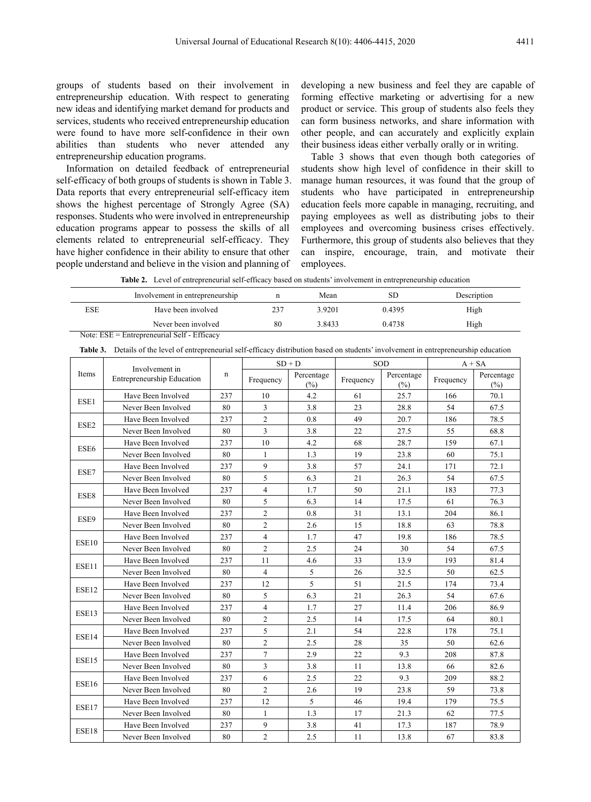groups of students based on their involvement in entrepreneurship education. With respect to generating new ideas and identifying market demand for products and services, students who received entrepreneurship education were found to have more self-confidence in their own abilities than students who never attended any entrepreneurship education programs.

Information on detailed feedback of entrepreneurial self-efficacy of both groups of students is shown in Table 3. Data reports that every entrepreneurial self-efficacy item shows the highest percentage of Strongly Agree (SA) responses. Students who were involved in entrepreneurship education programs appear to possess the skills of all elements related to entrepreneurial self-efficacy. They have higher confidence in their ability to ensure that other people understand and believe in the vision and planning of developing a new business and feel they are capable of forming effective marketing or advertising for a new product or service. This group of students also feels they can form business networks, and share information with other people, and can accurately and explicitly explain their business ideas either verbally orally or in writing.

Table 3 shows that even though both categories of students show high level of confidence in their skill to manage human resources, it was found that the group of students who have participated in entrepreneurship education feels more capable in managing, recruiting, and paying employees as well as distributing jobs to their employees and overcoming business crises effectively. Furthermore, this group of students also believes that they can inspire, encourage, train, and motivate their employees.

**Table 2.** Level of entrepreneurial self-efficacy based on students' involvement in entrepreneurship education

|     | Involvement in entrepreneurship |     | Mean   | SD     | Description |
|-----|---------------------------------|-----|--------|--------|-------------|
| ESE | Have been involved              | 237 | 3.9201 | 0.4395 | High        |
|     | Never been involved             | 80  | 3.8433 | 0.4738 | High        |

Note: ESE = Entrepreneurial Self - Efficacy

**Table 3.** Details of the level of entrepreneurial self-efficacy distribution based on students' involvement in entrepreneurship education

|                  | Involvement in<br>Entrepreneurship Education | n   | $SD + D$       |                      | <b>SOD</b> |                   | $A + SA$  |                   |
|------------------|----------------------------------------------|-----|----------------|----------------------|------------|-------------------|-----------|-------------------|
| Items            |                                              |     | Frequency      | Percentage<br>$(\%)$ | Frequency  | Percentage<br>(%) | Frequency | Percentage<br>(%) |
| ESE1             | Have Been Involved                           | 237 | 10             | 4.2                  | 61         | 25.7              | 166       | 70.1              |
|                  | Never Been Involved                          | 80  | 3              | 3.8                  | 23         | 28.8              | 54        | 67.5              |
| ESE <sub>2</sub> | Have Been Involved                           | 237 | $\overline{c}$ | 0.8                  | 49         | 20.7              | 186       | 78.5              |
|                  | Never Been Involved                          | 80  | 3              | 3.8                  | 22         | 27.5              | 55        | 68.8              |
|                  | Have Been Involved                           | 237 | 10             | 4.2                  | 68         | 28.7              | 159       | 67.1              |
| ESE6             | Never Been Involved                          | 80  | $\mathbf{1}$   | 1.3                  | 19         | 23.8              | 60        | 75.1              |
| ESE7             | Have Been Involved                           | 237 | 9              | 3.8                  | 57         | 24.1              | 171       | 72.1              |
|                  | Never Been Involved                          | 80  | 5              | 6.3                  | 21         | 26.3              | 54        | 67.5              |
|                  | Have Been Involved                           | 237 | $\overline{4}$ | 1.7                  | 50         | 21.1              | 183       | 77.3              |
| ESE8             | Never Been Involved                          | 80  | 5              | 6.3                  | 14         | 17.5              | 61        | 76.3              |
| ESE9             | Have Been Involved                           | 237 | $\overline{c}$ | 0.8                  | 31         | 13.1              | 204       | 86.1              |
|                  | Never Been Involved                          | 80  | $\overline{c}$ | 2.6                  | 15         | 18.8              | 63        | 78.8              |
| ESE10            | Have Been Involved                           | 237 | $\overline{4}$ | 1.7                  | 47         | 19.8              | 186       | 78.5              |
|                  | Never Been Involved                          | 80  | $\overline{2}$ | 2.5                  | 24         | 30                | 54        | 67.5              |
| ESE11            | Have Been Involved                           | 237 | 11             | 4.6                  | 33         | 13.9              | 193       | 81.4              |
|                  | Never Been Involved                          | 80  | $\overline{4}$ | 5                    | 26         | 32.5              | 50        | 62.5              |
| ESE12            | Have Been Involved                           | 237 | 12             | 5                    | 51         | 21.5              | 174       | 73.4              |
|                  | Never Been Involved                          | 80  | 5              | 6.3                  | 21         | 26.3              | 54        | 67.6              |
| ESE13            | Have Been Involved                           | 237 | $\overline{4}$ | 1.7                  | 27         | 11.4              | 206       | 86.9              |
|                  | Never Been Involved                          | 80  | $\overline{2}$ | 2.5                  | 14         | 17.5              | 64        | 80.1              |
| ESE14            | Have Been Involved                           | 237 | 5              | 2.1                  | 54         | 22.8              | 178       | 75.1              |
|                  | Never Been Involved                          | 80  | $\overline{c}$ | 2.5                  | 28         | 35                | 50        | 62.6              |
| ESE15            | Have Been Involved                           | 237 | 7              | 2.9                  | 22         | 9.3               | 208       | 87.8              |
|                  | Never Been Involved                          | 80  | 3              | 3.8                  | 11         | 13.8              | 66        | 82.6              |
|                  | Have Been Involved                           | 237 | 6              | 2.5                  | 22         | 9.3               | 209       | 88.2              |
| ESE16            | Never Been Involved                          | 80  | $\overline{c}$ | 2.6                  | 19         | 23.8              | 59        | 73.8              |
|                  | Have Been Involved                           | 237 | 12             | 5                    | 46         | 19.4              | 179       | 75.5              |
| ESE17            | Never Been Involved                          | 80  | $\mathbf{1}$   | 1.3                  | 17         | 21.3              | 62        | 77.5              |
| ESE18            | Have Been Involved                           | 237 | 9              | 3.8                  | 41         | 17.3              | 187       | 78.9              |
|                  | Never Been Involved                          | 80  | $\overline{2}$ | 2.5                  | 11         | 13.8              | 67        | 83.8              |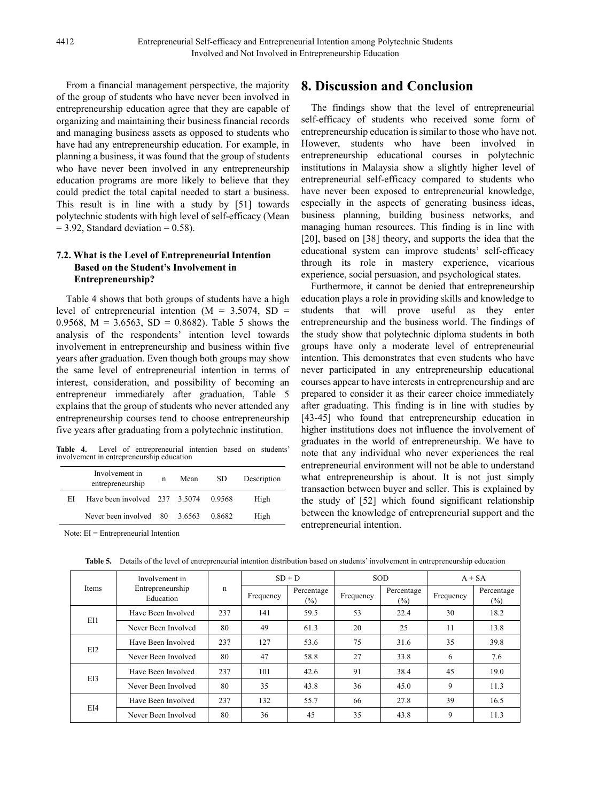From a financial management perspective, the majority of the group of students who have never been involved in entrepreneurship education agree that they are capable of organizing and maintaining their business financial records and managing business assets as opposed to students who have had any entrepreneurship education. For example, in planning a business, it was found that the group of students who have never been involved in any entrepreneurship education programs are more likely to believe that they could predict the total capital needed to start a business. This result is in line with a study by [51] towards polytechnic students with high level of self-efficacy (Mean  $= 3.92$ , Standard deviation  $= 0.58$ ).

#### **7.2. What is the Level of Entrepreneurial Intention Based on the Student's Involvement in Entrepreneurship?**

Table 4 shows that both groups of students have a high level of entrepreneurial intention  $(M = 3.5074, SD =$ 0.9568,  $M = 3.6563$ ,  $SD = 0.8682$ ). Table 5 shows the analysis of the respondents' intention level towards involvement in entrepreneurship and business within five years after graduation. Even though both groups may show the same level of entrepreneurial intention in terms of interest, consideration, and possibility of becoming an entrepreneur immediately after graduation, Table 5 explains that the group of students who never attended any entrepreneurship courses tend to choose entrepreneurship five years after graduating from a polytechnic institution.

**Table 4.** Level of entrepreneurial intention based on students' involvement in entrepreneurship education

|    | Involvement in<br>entrepreneurship | n | Mean | SD.    | Description |
|----|------------------------------------|---|------|--------|-------------|
| ЕI | Have been involved 237 3.5074      |   |      | 0.9568 | High        |
|    | Never been involved $80$ 3.6563    |   |      | 0.8682 | High        |

Note: EI = Entrepreneurial Intention

## **8. Discussion and Conclusion**

The findings show that the level of entrepreneurial self-efficacy of students who received some form of entrepreneurship education is similar to those who have not. However, students who have been involved in entrepreneurship educational courses in polytechnic institutions in Malaysia show a slightly higher level of entrepreneurial self-efficacy compared to students who have never been exposed to entrepreneurial knowledge, especially in the aspects of generating business ideas, business planning, building business networks, and managing human resources. This finding is in line with [20], based on [38] theory, and supports the idea that the educational system can improve students' self-efficacy through its role in mastery experience, vicarious experience, social persuasion, and psychological states.

Furthermore, it cannot be denied that entrepreneurship education plays a role in providing skills and knowledge to students that will prove useful as they enter entrepreneurship and the business world. The findings of the study show that polytechnic diploma students in both groups have only a moderate level of entrepreneurial intention. This demonstrates that even students who have never participated in any entrepreneurship educational courses appear to have interests in entrepreneurship and are prepared to consider it as their career choice immediately after graduating. This finding is in line with studies by [43-45] who found that entrepreneurship education in higher institutions does not influence the involvement of graduates in the world of entrepreneurship. We have to note that any individual who never experiences the real entrepreneurial environment will not be able to understand what entrepreneurship is about. It is not just simply transaction between buyer and seller. This is explained by the study of [52] which found significant relationship between the knowledge of entrepreneurial support and the entrepreneurial intention.

| Items | Involvement in<br>Entrepreneurship<br>Education | n   | $SD + D$  |                      | <b>SOD</b> |                      | $A + SA$  |                      |
|-------|-------------------------------------------------|-----|-----------|----------------------|------------|----------------------|-----------|----------------------|
|       |                                                 |     | Frequency | Percentage<br>$(\%)$ | Frequency  | Percentage<br>$(\%)$ | Frequency | Percentage<br>$(\%)$ |
| EI1   | Have Been Involved                              | 237 | 141       | 59.5                 | 53         | 22.4                 | 30        | 18.2                 |
|       | Never Been Involved                             | 80  | 49        | 61.3                 | 20         | 25                   | 11        | 13.8                 |
| EI2   | Have Been Involved                              | 237 | 127       | 53.6                 | 75         | 31.6                 | 35        | 39.8                 |
|       | Never Been Involved                             | 80  | 47        | 58.8                 | 27         | 33.8                 | 6         | 7.6                  |
| EI3   | Have Been Involved                              | 237 | 101       | 42.6                 | 91         | 38.4                 | 45        | 19.0                 |
|       | Never Been Involved                             | 80  | 35        | 43.8                 | 36         | 45.0                 | 9         | 11.3                 |
| EI4   | Have Been Involved                              | 237 | 132       | 55.7                 | 66         | 27.8                 | 39        | 16.5                 |
|       | Never Been Involved                             | 80  | 36        | 45                   | 35         | 43.8                 | 9         | 11.3                 |

**Table 5.** Details of the level of entrepreneurial intention distribution based on students' involvement in entrepreneurship education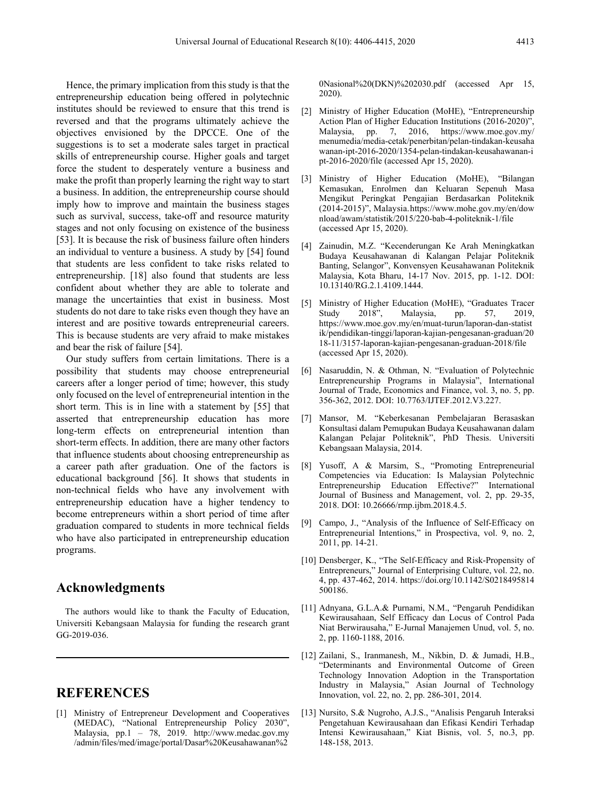Hence, the primary implication from this study is that the entrepreneurship education being offered in polytechnic institutes should be reviewed to ensure that this trend is reversed and that the programs ultimately achieve the objectives envisioned by the DPCCE. One of the suggestions is to set a moderate sales target in practical skills of entrepreneurship course. Higher goals and target force the student to desperately venture a business and make the profit than properly learning the right way to start a business. In addition, the entrepreneurship course should imply how to improve and maintain the business stages such as survival, success, take-off and resource maturity stages and not only focusing on existence of the business [53]. It is because the risk of business failure often hinders an individual to venture a business. A study by [54] found that students are less confident to take risks related to entrepreneurship. [18] also found that students are less confident about whether they are able to tolerate and manage the uncertainties that exist in business. Most students do not dare to take risks even though they have an interest and are positive towards entrepreneurial careers. This is because students are very afraid to make mistakes and bear the risk of failure [54].

Our study suffers from certain limitations. There is a possibility that students may choose entrepreneurial careers after a longer period of time; however, this study only focused on the level of entrepreneurial intention in the short term. This is in line with a statement by [55] that asserted that entrepreneurship education has more long-term effects on entrepreneurial intention than short-term effects. In addition, there are many other factors that influence students about choosing entrepreneurship as a career path after graduation. One of the factors is educational background [56]. It shows that students in non-technical fields who have any involvement with entrepreneurship education have a higher tendency to become entrepreneurs within a short period of time after graduation compared to students in more technical fields who have also participated in entrepreneurship education programs.

#### **Acknowledgments**

The authors would like to thank the Faculty of Education, Universiti Kebangsaan Malaysia for funding the research grant GG-2019-036.

## **REFERENCES**

[1] Ministry of Entrepreneur Development and Cooperatives (MEDAC), "National Entrepreneurship Policy 2030", Malaysia, pp.1 – 78, 2019. http://www.medac.gov.my /admin/files/med/image/portal/Dasar%20Keusahawanan%2

0Nasional%20(DKN)%202030.pdf (accessed Apr 15, 2020).

- [2] Ministry of Higher Education (MoHE), "Entrepreneurship Action Plan of Higher Education Institutions (2016-2020)<sup>3</sup>. Malaysia, pp. 7, 2016, https://www.moe.gov.my/ menumedia/media-cetak/penerbitan/pelan-tindakan-keusaha wanan-ipt-2016-2020/1354-pelan-tindakan-keusahawanan-i pt-2016-2020/file (accessed Apr 15, 2020).
- [3] Ministry of Higher Education (MoHE), "Bilangan Kemasukan, Enrolmen dan Keluaran Sepenuh Masa Mengikut Peringkat Pengajian Berdasarkan Politeknik (2014-2015)", Malaysia.https://www.mohe.gov.my/en/dow nload/awam/statistik/2015/220-bab-4-politeknik-1/file (accessed Apr 15, 2020).
- [4] Zainudin, M.Z. "Kecenderungan Ke Arah Meningkatkan Budaya Keusahawanan di Kalangan Pelajar Politeknik Banting, Selangor", Konvensyen Keusahawanan Politeknik Malaysia, Kota Bharu, 14-17 Nov. 2015, pp. 1-12. DOI: 10.13140/RG.2.1.4109.1444.
- [5] Ministry of Higher Education (MoHE), "Graduates Tracer Malaysia, pp. https://www.moe.gov.my/en/muat-turun/laporan-dan-statist ik/pendidikan-tinggi/laporan-kajian-pengesanan-graduan/20 18-11/3157-laporan-kajian-pengesanan-graduan-2018/file (accessed Apr 15, 2020).
- [6] Nasaruddin, N. & Othman, N. "Evaluation of Polytechnic Entrepreneurship Programs in Malaysia", International Journal of Trade, Economics and Finance, vol. 3, no. 5, pp. 356-362, 2012. DOI: 10.7763/IJTEF.2012.V3.227.
- [7] Mansor, M. "Keberkesanan Pembelajaran Berasaskan Konsultasi dalam Pemupukan Budaya Keusahawanan dalam Kalangan Pelajar Politeknik", PhD Thesis. Universiti Kebangsaan Malaysia, 2014.
- [8] Yusoff, A & Marsim, S., "Promoting Entrepreneurial Competencies via Education: Is Malaysian Polytechnic Entrepreneurship Education Effective?" International Journal of Business and Management, vol. 2, pp. 29-35, 2018. DOI: 10.26666/rmp.ijbm.2018.4.5.
- [9] Campo, J., "Analysis of the Influence of Self-Efficacy on Entrepreneurial Intentions," in Prospectiva, vol. 9, no. 2, 2011, pp. 14-21.
- [10] Densberger, K., "The Self-Efficacy and Risk-Propensity of Entrepreneurs," Journal of Enterprising Culture, vol. 22, no. 4, pp. 437-462, 2014. https://doi.org/10.1142/S0218495814 500186.
- [11] Adnyana, G.L.A.& Purnami, N.M., "Pengaruh Pendidikan Kewirausahaan, Self Efficacy dan Locus of Control Pada Niat Berwirausaha," E-Jurnal Manajemen Unud, vol. 5, no. 2, pp. 1160-1188, 2016.
- [12] Zailani, S., Iranmanesh, M., Nikbin, D. & Jumadi, H.B., "Determinants and Environmental Outcome of Green Technology Innovation Adoption in the Transportation Industry in Malaysia," Asian Journal of Technology Innovation, vol. 22, no. 2, pp. 286-301, 2014.
- [13] Nursito, S.& Nugroho, A.J.S., "Analisis Pengaruh Interaksi Pengetahuan Kewirausahaan dan Efikasi Kendiri Terhadap Intensi Kewirausahaan," Kiat Bisnis, vol. 5, no.3, pp. 148-158, 2013.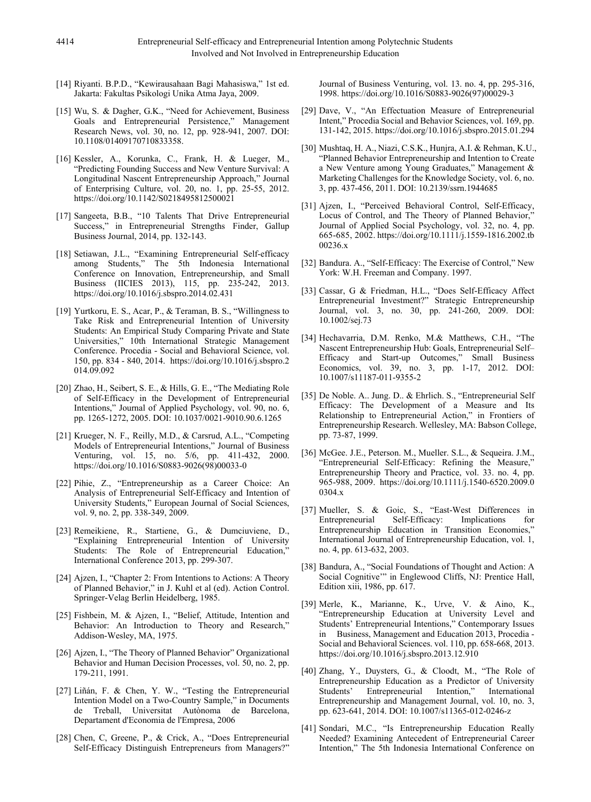- [14] Riyanti. B.P.D., "Kewirausahaan Bagi Mahasiswa," 1st ed. Jakarta: Fakultas Psikologi Unika Atma Jaya, 2009.
- [15] Wu, S. & Dagher, G.K., "Need for Achievement, Business Goals and Entrepreneurial Persistence," Management Research News, vol. 30, no. 12, pp. 928-941, 2007. DOI: 10.1108/01409170710833358.
- [16] Kessler, A., Korunka, C., Frank, H. & Lueger, M., "Predicting Founding Success and New Venture Survival: A Longitudinal Nascent Entrepreneurship Approach," Journal of Enterprising Culture, vol. 20, no. 1, pp. 25-55, 2012. https://doi.org/10.1142/S0218495812500021
- [17] Sangeeta, B.B., "10 Talents That Drive Entrepreneurial Success," in Entrepreneurial Strengths Finder, Gallup Business Journal, 2014, pp. 132-143.
- [18] Setiawan, J.L., "Examining Entrepreneurial Self-efficacy among Students," The 5th Indonesia International Conference on Innovation, Entrepreneurship, and Small Business (IICIES 2013), 115, pp. 235-242, 2013. https://doi.org/10.1016/j.sbspro.2014.02.431
- [19] Yurtkoru, E. S., Acar, P., & Teraman, B. S., "Willingness to Take Risk and Entrepreneurial Intention of University Students: An Empirical Study Comparing Private and State Universities," 10th International Strategic Management Conference. Procedia - Social and Behavioral Science, vol. 150, pp. 834 - 840, 2014. https://doi.org/10.1016/j.sbspro.2 014.09.092
- [20] Zhao, H., Seibert, S. E., & Hills, G. E., "The Mediating Role of Self-Efficacy in the Development of Entrepreneurial Intentions," Journal of Applied Psychology, vol. 90, no. 6, pp. 1265-1272, 2005. DOI: 10.1037/0021-9010.90.6.1265
- [21] Krueger, N. F., Reilly, M.D., & Carsrud, A.L., "Competing Models of Entrepreneurial Intentions," Journal of Business Venturing, vol. 15, no. 5/6, pp. 411-432, 2000. https://doi.org/10.1016/S0883-9026(98)00033-0
- [22] Pihie, Z., "Entrepreneurship as a Career Choice: An Analysis of Entrepreneurial Self-Efficacy and Intention of University Students," European Journal of Social Sciences, vol. 9, no. 2, pp. 338-349, 2009.
- [23] Remeikiene, R., Startiene, G., & Dumciuviene, D., "Explaining Entrepreneurial Intention of University Students: The Role of Entrepreneurial Education,' International Conference 2013, pp. 299-307.
- [24] Ajzen, I., "Chapter 2: From Intentions to Actions: A Theory of Planned Behavior," in J. Kuhl et al (ed). Action Control. Springer-Velag Berlin Heidelberg, 1985.
- [25] Fishbein, M. & Ajzen, I., "Belief, Attitude, Intention and Behavior: An Introduction to Theory and Research," Addison-Wesley, MA, 1975.
- [26] Ajzen, I., "The Theory of Planned Behavior" Organizational Behavior and Human Decision Processes, vol. 50, no. 2, pp. 179-211, 1991.
- [27] Liñán, F. & Chen, Y. W., "Testing the Entrepreneurial Intention Model on a Two-Country Sample," in Documents de Treball, Universitat Autònoma de Barcelona, Departament d'Economia de l'Empresa, 2006
- [28] Chen, C, Greene, P., & Crick, A., "Does Entrepreneurial Self-Efficacy Distinguish Entrepreneurs from Managers?"

Journal of Business Venturing, vol. 13. no. 4, pp. 295-316, 1998. https://doi.org/10.1016/S0883-9026(97)00029-3

- [29] Dave, V., "An Effectuation Measure of Entrepreneurial Intent," Procedia Social and Behavior Sciences, vol. 169, pp. 131-142, 2015. https://doi.org/10.1016/j.sbspro.2015.01.294
- [30] Mushtaq, H. A., Niazi, C.S.K., Hunjra, A.I. & Rehman, K.U., "Planned Behavior Entrepreneurship and Intention to Create a New Venture among Young Graduates," Management & Marketing Challenges for the Knowledge Society, vol. 6, no. 3, pp. 437-456, 2011. DOI: 10.2139/ssrn.1944685
- [31] Ajzen, I., "Perceived Behavioral Control, Self-Efficacy, Locus of Control, and The Theory of Planned Behavior," Journal of Applied Social Psychology, vol. 32, no. 4, pp. 665-685, 2002. https://doi.org/10.1111/j.1559-1816.2002.tb 00236.x
- [32] Bandura. A., "Self-Efficacy: The Exercise of Control," New York: W.H. Freeman and Company. 1997.
- [33] Cassar, G & Friedman, H.L., "Does Self-Efficacy Affect Entrepreneurial Investment?" Strategic Entrepreneurship Journal, vol. 3, no. 30, pp. 241-260, 2009. DOI: 10.1002/sej.73
- [34] Hechavarria, D.M. Renko, M.& Matthews, C.H., "The Nascent Entrepreneurship Hub: Goals, Entrepreneurial Self– Efficacy and Start-up Outcomes," Small Business Economics, vol. 39, no. 3, pp. 1-17, 2012. DOI: 10.1007/s11187-011-9355-2
- [35] De Noble. A.. Jung. D.. & Ehrlich. S., "Entrepreneurial Self Efficacy: The Development of a Measure and Its Relationship to Entrepreneurial Action," in Frontiers of Entrepreneurship Research. Wellesley, MA: Babson College, pp. 73-87, 1999.
- [36] McGee. J.E., Peterson. M., Mueller. S.L., & Sequeira. J.M., "Entrepreneurial Self-Efficacy: Refining the Measure," Entrepreneurship Theory and Practice, vol. 33. no. 4, pp. 965-988, 2009. https://doi.org/10.1111/j.1540-6520.2009.0 0304.x
- [37] Mueller, S. & Goic, S., "East-West Differences in Entrepreneurial Self-Efficacy: Implications for Entrepreneurship Education in Transition Economies," International Journal of Entrepreneurship Education, vol. 1, no. 4, pp. 613-632, 2003.
- [38] Bandura, A., "Social Foundations of Thought and Action: A Social Cognitive'" in Englewood Cliffs, NJ: Prentice Hall, Edition xiii, 1986, pp. 617.
- [39] Merle, K., Marianne, K., Urve, V. & Aino, K., "Entrepreneurship Education at University Level and Students' Entrepreneurial Intentions," Contemporary Issues in Business, Management and Education 2013, Procedia - Social and Behavioral Sciences. vol. 110, pp. 658-668, 2013. https://doi.org/10.1016/j.sbspro.2013.12.910
- [40] Zhang, Y., Duysters, G., & Cloodt, M., "The Role of Entrepreneurship Education as a Predictor of University Students' Entrepreneurial Intention," International Entrepreneurship and Management Journal, vol. 10, no. 3, pp. 623-641, 2014. DOI: 10.1007/s11365-012-0246-z
- [41] Sondari, M.C., "Is Entrepreneurship Education Really Needed? Examining Antecedent of Entrepreneurial Career Intention," The 5th Indonesia International Conference on